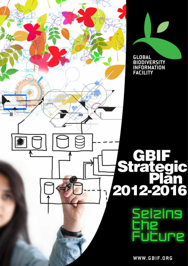

GLOBAL<br>BIODIVERSITY<br>INFORMATION<br>FACILITY

 $\bigcap$ 

# seizins :ure

C

WWW.GBIF.ORG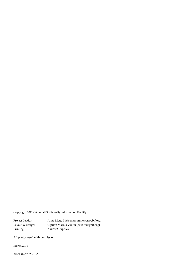Copyright 2011 © Global Biodiversity Information Facility

Project Leader: Anne Mette Nielsen (anmnielsen@gbif.org) Layout & design: Ciprian Marius Vizitiu (cvizitiu@gbif.org) Printing: Kailow Graphics

All photos used with permission

March 2011

ISBN: 87-92020-18-6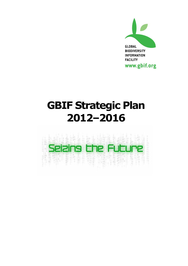

# **GBIF Strategic Plan 2012–2016**

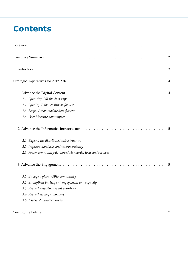# **Contents**

| 1.1. Quantity: Fill the data gaps                             |  |
|---------------------------------------------------------------|--|
| 1.2. Quality: Enhance fitness-for-use                         |  |
| 1.3. Scope: Accommodate data futures                          |  |
| 1.4. Use: Measure data impact                                 |  |
|                                                               |  |
| 2.1. Expand the distributed infrastructure                    |  |
| 2.2. Improve standards and interoperability                   |  |
| 2.3. Foster community-developed standards, tools and services |  |
|                                                               |  |
| 3.1. Engage a global GBIF community                           |  |
| 3.2. Strengthen Participant engagement and capacity           |  |
| 3.3. Recruit new Participant countries                        |  |
| 3.4. Recruit strategic partners                               |  |
| 3.5. Assess stakeholder needs                                 |  |
|                                                               |  |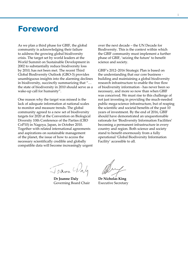### <span id="page-4-0"></span>**Foreword**

As we plan a third phase for GBIF, the global community is acknowledging their failure to address the growing global biodiversity crisis. The target set by world leaders at the World Summit on Sustainable Development in 2002 to substantially reduce biodiversity loss by 2010, has not been met. The recent Third Global Biodiversity Outlook (GBO-3) provides unambiguous insights into the alarming declines in biodiversity, succinctly summarizing that "… the state of biodiversity in 2010 should serve as a wake-up call for humanity".

One reason why the target was missed is the lack of adequate information at national scales to monitor and measure trends. The global community agreed to a new set of biodiversity targets for 2020 at the Convention on Biological Diversity 10th Conference of the Parties (CBD CoP10) in Nagoya, Japan, in October 2010. Together with related international agreements and aspirations on sustainable management of the planet, the issue of how to access the necessary scientifically credible and globally compatible data will become increasingly urgent

over the next decade – the UN Decade for Biodiversity. This is the context within which the GBIF community must implement a further phase of GBIF, 'seizing the future' to benefit science and society.

GBIF's 2012–2016 Strategic Plan is based on the understanding that our core business building and maintaining a global biodiversity research infrastructure to enable the free flow of biodiversity information - has never been so necessary, and more so now than when GBIF was conceived. We must rise to this challenge of not just investing in providing the much-needed public mega-science infrastructure, but of reaping the scientific and societal benefits of the past 10 years of investment. By the end of 2016, GBIF should have demonstrated an unquestionable rationale for 'Biodiversity Information Facilities' becoming a permanent infrastructure in every country and region. Both science and society stand to benefit enormously from a fully operational 'Global Biodiversity Information Facility' accessible to all.

Joann 4

**Dr Joanne Daly**  Governing Board Chair

**Dr Nicholas King** Executive Secretary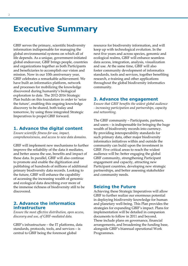## <span id="page-5-0"></span>**Executive Summary**

GBIF serves the primary, scientific biodiversity information indispensable for managing the global environmental systems on which all of life depends. As a unique, government-initiated global endeavour, GBIF brings people, countries and organizations together as both Participants and beneficiaries to accomplish our vision and mission. Now in our 10th anniversary year, GBIF celebrates a remarkable achievement. We have built an informatics platform, network and processes for mobilizing the knowledge discovered during humanity's biological exploration to date. The 2012-2016 Strategic Plan builds on this foundation in order to 'seize the future', enabling this ongoing knowledge discovery to be shared, both today and tomorrow, by using three integrated Strategic Imperatives to propel GBIF forward.

#### **1. Advance the digital content**

*Ensure scientific fitness-for-use, impact, comprehensiveness, and access to new data domains.*

GBIF will implement new mechanisms to further improve the reliability of the data it mediates, and better assess the use, benefits and impact of these data. In parallel, GBIF will also continue to promote and enable the digitization and publishing of hundreds of millions of additional primary biodiversity data records. Looking to the future, GBIF will enhance the capability of accessing the increasing wealth of genomic and ecological data describing ever more of the immense richness of biodiversity still to be discovered.

#### **2. Advance the informatics infrastructure**

*Ensure the most effective distribution, open access, discovery and use, of GBIF-mediated data.*

GBIF's infrastructure – the IT platforms, data standards, protocols, tools, and services – is central to GBIF being the foremost global

resource for biodiversity information, and will keep up with technological evolution. In the next five years and across species, genomic and ecological realms, GBIF will enhance seamless data access, integration, analysis, visualization and use. At the same time, GBIF will also foster community development of informatics standards, tools and services, together benefiting research, e-training and other applications throughout the global biodiversity informatics community.

#### **3. Advance the engagement**

*Ensure that GBIF benefits the widest global audience - increasing participation and partnerships, capacity and networking.*

The GBIF community – Participants, partners, and users – is indispensable for bringing the huge wealth of biodiversity records into currency. By providing interoperability standards for such primary data, other major biodiversity informatics initiatives within and outside the community can build upon the investment in GBIF. Five critical areas to reach the widest audience will be: better engaging the global GBIF community, strengthening Participant engagement and capacity, attracting new Participant countries, developing new strategic partnerships, and better assessing stakeholder and community needs.

#### **Seizing the Future**

Achieving these Strategic Imperatives will allow GBIF to further realize our enormous potential in deploying biodiversity knowledge for human and planetary well-being. This Plan provides the strategies for expanding GBIF's impact. Plans for implementation will be detailed in companion documents to follow in 2011 and beyond. These include plans on governance, financial arrangements, and broadening the funding base, alongside GBIF's biannual operational Work Programmes.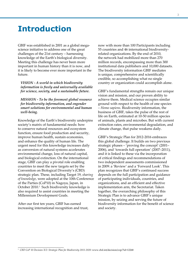## <span id="page-6-0"></span>**Introduction**

GBIF was established in 2001 as a global megascience initiative to address one of the great challenges of the 21st century – harnessing knowledge of the Earth's biological diversity. Meeting this challenge has never been more important in human history than it is now, and it is likely to become ever more important in the future.

*VISION - A world in which biodiversity information is freely and universally available for science, society, and a sustainable future.*

*MISSION - To be the foremost global resource for biodiversity information, and engender smart solutions for environmental and human well-being.* 

Knowledge of the Earth's biodiversity underpins society's matrix of fundamental needs: how to conserve natural resources and ecosystem function, ensure food production and security, improve human health, sustain economies, and enhance the quality of human life. The urgent need for this knowledge increases daily as conversion of natural systems accelerates environmental change, loss of natural capital, and biological extinction. On the international stage, GBIF can play a pivotal role enabling countries to meet the new targets set by the Convention on Biological Diversity's (CBD) strategic plan. These, including Target 19, *sharing of knowledge*, were adopted at the 10th Conference of the Parties (CoP10) in Nagoya, Japan, in October 2010.<sup>1</sup> Such biodiversity knowledge is also required to assist countries in meeting the Millennium Development Goals.

After our first ten years, GBIF has earned increasing international recognition and trust, now with more than 100 Participants including 55 countries and 46 international biodiversityrelated organizations. By the end of 2010, the network had mobilized more than 270 million records, encompassing more than 300 institutional data publishers and 10,000 datasets. The biodiversity information GBIF mediates is unique, comprehensive and scientifically credible, so accomplishing what no single country or organization could accomplish alone.

GBIF's fundamental strengths remain our unique vision and mission, and our proven ability to achieve them. Medical science occupies similar ground with respect to the health of one species – *Homo sapiens*. Biodiversity information, the business of GBIF, takes the pulse of the rest of life on Earth, estimated at 10-50 million species of animals, plants and microbes. But with current extinction rates, environmental degradation, and climate change, that pulse weakens daily.

GBIF's Strategic Plan for 2012-2016 embraces this global challenge. It builds on two previous strategic phases – 'proving the concept' (2001– 2006), and 'towards full operation' (2007–2011), and it is linked to these via the incorporation of critical findings and recommendations of two independent assessments commissioned in 2009: a 'Review' and a 'Forward Look'. This plan recognizes that GBIF's continued success depends on the full participation and guidance of participating individuals, countries, and organizations, and an efficient and effective implementation arm, the Secretariat. Taken together, the overarching philosophy of this Strategic Plan is to advance GBIF's unique mission, by seizing and serving the future of biodiversity information for the benefit of science and society.

<sup>1</sup> *CBD CoP 10 Decision X/2: Strategic Plan for Biodiversity 2011-2020*: [www.cbd.int/decision/cop/?id=12268](http://www.cbd.int/decision/cop/?id=12268)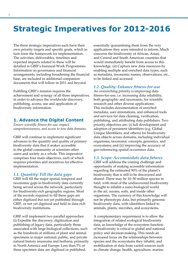# <span id="page-7-0"></span>**Strategic Imperatives for 2012-2016**

The three strategic imperatives each have their own priority targets and specific goals, which in turn form the framework for implementation. The activities, deliverables, timelines and expected impacts related to these will be detailed in GBIF's biannual Work Programmes. Information on governance and financial arrangements, including broadening the financial base, are included in additional companion documents that will follow in 2011 and beyond.

Fulfilling GBIF's mission requires the achievement and synergy of all three imperatives, in order to advance the worldwide discovery, publishing, access, use and application of biodiversity information.

#### **1. Advance the Digital Content**

*Ensure scientific fitness-for-use, impact, comprehensiveness, and access to new data domains.*

GBIF will continue to implement significant advances in the quantity and quality of primary biodiversity data that it makes accessible to the global community of scientists other users and society as a whole. This imperative comprises four main objectives, each of which requires priorities and incentives for effective implementation.

#### *1.1. Quantity: Fill the data gaps*

GBIF will fill the major spatial, temporal and taxonomic gaps in biodiversity data currently being served across the network, particularly for biodiversity-rich geographic regions. Most of the records required to fill these gaps are either digitized but not yet published through GBIF, or not yet digitized and held in data-rich biodiversity institutions.

GBIF will implement two parallel approaches: (i) Expedite the discovery, digitization and publishing of legacy data, particularly those associated with large biological collections, such as the hundreds of millions of plant and animal specimens in major national, public, and private natural history museums and herbaria, primarily in North America and Europe. Less than 5% of these specimen data are digitized or published,

essentially quarantining them from the very applications they were intended to inform. Much concerns the biodiversity of African, Asian, and Central and South American countries that would immediately benefit from access to this knowledge. (ii) Capture new data resources by enabling multiple and enriched data types, such as metadata, taxonomic names, observations, etc., to be linked and accessed.

#### *1.2. Quality: Enhance fitness-for-use*

An overarching priority is improving data fitness-for-use, i.e. increasing data reliability, both geographic and taxonomic, for scientific research and other diverse applications. This includes documentation of enriched metadata, user annotations, and enhanced tools and services for data cleaning, verification, publishing, and attributing data publishers. Two priority objectives are: (i) full development and adoption of persistent identifiers (e.g. Global Unique Identifiers, and others) for biodiversity data objects across domains, including individual organisms, taxonomic concepts, genomics, and ecosystems; and (ii) improving the accuracy of geo-referencing spatial occurrence data.

#### *1.3. Scope: Accommodate data futures*

GBIF will address the coming challenge and opportunity of making accessible information regarding the estimated 90% of the planet's biodiversity that is still to be discovered and shared. There may be 10–50 million species in total, with most of the undiscovered biodiversity thought to inhabit a nano-biological world in the air, oceans, soils, and inside other organisms. The currency of this knowledge will not be phenotypic data, but primarily genomic biodiversity data, with identifiers linked to animals, plants, microbes, and ecosystems.

A complementary requirement is to allow the integration of related ecological biodiversity data, as knowledge of the ecosystem function of biodiversity is critical to global and national policy and decision-making. This needs an increased focus on the relationships between species and the ecosystems they inhabit, and mobilization of data from varied sources such as climate change, health, agriculture, marine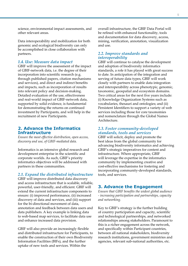<span id="page-8-0"></span>science, environmental impact assessments, and other relevant areas.

Data interoperability and mobilization for both genomic and ecological biodiversity can only be accomplished in close collaboration with partners.

#### *1.4. Use: Measure data impact*

GBIF will improve the assessment of the impact of GBIF-network data, i.e. the degree of their incorporation into scientific research (e.g. through published papers, citation mechanisms and services), and direct and indirect benefits and impacts, such as incorporation of results into relevant policy and decision-making. Detailed evaluation of the use, effectiveness and real-world impact of GBIF-network data, supported by solid evidence, is fundamental for demonstrating the returns on continued investment by Participants, and will help in the recruitment of new Participants.

#### **2. Advance the Informatics Infrastructure**

*Ensure the most effective distribution, open access, discovery and use, of GBIF-mediated data.*

Informatics is an intensive global research and development enterprise in the scientific and corporate worlds. As such, GBIF's priority informatics objectives will be addressed with partners in these communities.

#### *2.1. Expand the distributed infrastructure*

GBIF will improve distributed data discovery and access infrastructure that is scalable, reliable, powerful, user-friendly, and efficient. GBIF will extend the current infrastructure components to ensure: (i) improved performance, (ii) increased discovery of data and services, and (iii) support for the bi-directional movement of data, annotation and feedback between data users and data publishers. A key example is linking data to web-based map services, to facilitate data use and enhance increased data provision.

GBIF will also provide an increasingly flexible and distributed infrastructure for Participants, to enable the construction of their own Biodiversity Information Facilities (BIFs), and the further uptake of new tools and services. Within the

overall infrastructure, the GBIF Data Portal will be refined with enhanced functionality, tools and documentation for data discovery, access, mining, verification, annotation, visualization and use.

#### *2.2. Improve standards and interoperability*

GBIF will continue to catalyse the development and adoption of biodiversity informatics standards, a role it has played with great success to date. In anticipation of the integration and serving of future data types, GBIF will work closely with partners to enable data integration and interoperability across phenotypic, genomic, taxonomic, geospatial and ecosystem domains. Two critical areas for the next five years include: (i) Knowledge Organization Systems such as vocabularies, thesauri and ontologies; and (ii) Persistent Identifiers to support a variety of web services including those for core taxonomies and nomenclature through the Global Names Architecture.

#### *2.3. Foster community-developed standards, tools and services*

GBIF will solicit, deploy and promote the best ideas from the global community for advancing biodiversity informatics and achieving GBIF's strategic imperatives for content and infrastructure. Where appropriate, GBIF will leverage the expertise in the informatics community by implementing creative and cost-effective mechanisms for fostering and incorporating community-developed standards, tools, and services.

#### **3. Advance the Engagement**

*Ensure that GBIF benefits the widest global audience - increasing participation and partnerships, capacity and networking.*

Key to GBIF's strategy is the further building of country participation and capacity, scientific and technological partnerships, and networked relationships among stakeholders. Paramount to this is a richer engagement across the network, and specifically within Participant countries, between all national stakeholders, biodiversity research institutions, government ministries and agencies, relevant sub-national authorities, etc.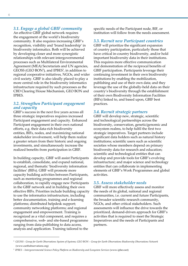<span id="page-9-0"></span>An effective GBIF global network requires the engagement of the world's biodiversity community. It also requires increasing GBIF's recognition, visibility and 'brand leadership' in biodiversity informatics. Both will be achieved by developing closer and more synergistic relationships with relevant intergovernmental processes such as Multilateral Environmental Agreement (MEA) Secretariats and UN agencies,  $GEOSS$  ( $GEO BON<sup>2</sup>$ ), and IPBES<sup>3</sup>, in addition to regional cooperative initiatives, NGOs, and wider civil society. GBIF is also ideally placed to play a more central role in the biodiversity informatics infrastructure required by such processes as the CBD Clearing House Mechanism, GEO BON and IPBES.

#### *3.2. Strengthen Participant engagement and capacity*

GBIF's success in the next five years across all three strategic imperatives requires increased Participant engagement and capacity. Enhanced Participant engagement in their own national efforts, e.g. their data-rich biodiversity entities, BIFs, nodes, and maximizing national stakeholder involvement, will help them realize a greater return from their historic and ongoing investments, and simultaneously increase the realized benefits from participation in GBIF.

In building capacity, GBIF will assist Participants to establish, consolidate, and expand national, regional, and thematic 'biodiversity information facilities' (BIFs). GBIF will promote more capacity building activities between Participants, such as mentoring programmes and regional collaboration, to rapidly engage new Participants in the GBIF network and in building their own effective BIFs. Priorities include building capacity to use the informatics infrastructure, including better documentation, training and e-learning platforms; distributed helpdesk support; community networking platforms; and regional engagement and empowerment. Training is recognized as a vital component, and requires a comprehensive, web- and site-based programme ranging from data-publishing to data access, analysis and application. Training tailored to the

specific needs of the Participant node, BIF, or institution will follow from the needs assessment.

#### *3.3. Recruit new Participant countries*

GBIF will prioritize the significant expansion of country participation, particularly those that have critical in-country biodiversity, and/or hold important biodiversity data in their institutions. This requires more effective communication and demonstration of the reciprocal benefits of GBIF participation. Participants leverage their continuing investment in their own biodiversity institutions by enabling the mobilization, publishing and use of their own data; and they leverage the use of the globally-held data on their country's biodiversity through the establishment of their own Biodiversity Information Facilities (BIFs) linked to, and based upon, GBIF best practices.

#### *3.4. Recruit strategic partners*

GBIF will develop new, strategic, scientific and technological partnerships across the biodiversity, conservation, genetic/genomic and ecosystem realms, to help fulfil the first two strategic imperatives. Target partners include significant data holders such as natural history institutions; scientific users such as scientific societies whose members depend on primary biodiversity data for research and education; scientific and technological entities that can develop and provide tools for GBIF's evolving infrastructure; and major science and technology entities that can collaborate in implementing elements of GBIF's Work Programmes and global activities.

#### *3.5. Assess stakeholder needs*

GBIF will more effectively assess and monitor the needs of its global, national and regional communities, i.e. current and future Participants, the broader scientific research community, NGOs, and other critical stakeholders. Such assessments will influence the drive towards the prioritized, demand-driven approach for GBIF's activities that is required to meet the Strategic Imperatives and the needs of Participants and partners.

<sup>&</sup>lt;sup>2</sup> GEOSS - Group for Earth Observations System of Systems; GEO BON – Group for Earth Observations Biodiversity Observations Network [\(www.earthobservations.org\)](http://www.earthobservations.org)

<sup>3</sup>*IPBES – Intergovernmental Science-Policy Platform on Biodiversity and Ecosystem Services* ([www.ipbes.net\)](http://www.ipbes.net)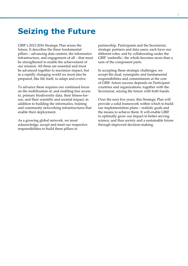## <span id="page-10-0"></span>**Seizing the Future**

GBIF's 2012-2016 Strategic Plan seizes the future. It describes the three fundamental pillars – advancing data content, the informatics infrastructure, and engagement of all – that must be strengthened to enable the achievement of our mission. All three are essential and must be advanced together to maximize impact, but in a rapidly changing world we must also be prepared, like life itself, to adapt and evolve.

To advance these requires our continued focus on the mobilization of, and enabling free access to, primary biodiversity data, their fitness-foruse, and their scientific and societal impact, in addition to building the informatics, training and community networking infrastructures that enable their deployment.

As a growing global network, we must acknowledge, accept and meet our respective responsibilities to build these pillars in

partnership. Participants and the Secretariat, strategic partners and data users, each have our different roles, and by collaborating under the GBIF 'umbrella', the whole becomes more than a sum of the component parts.

In accepting these strategic challenges, we accept the dual, synergistic and fundamental responsibilities and commitments at the core of GBIF: future success depends on Participant countries and organizations, together with the Secretariat, seizing the future with both hands.

Over the next five years, this Strategic Plan will provide a solid framework within which to build our implementation plans – realistic goals and the means to achieve them. It will enable GBIF to optimally grow our impact in better serving science, and thus society and a sustainable future through improved decision-making.